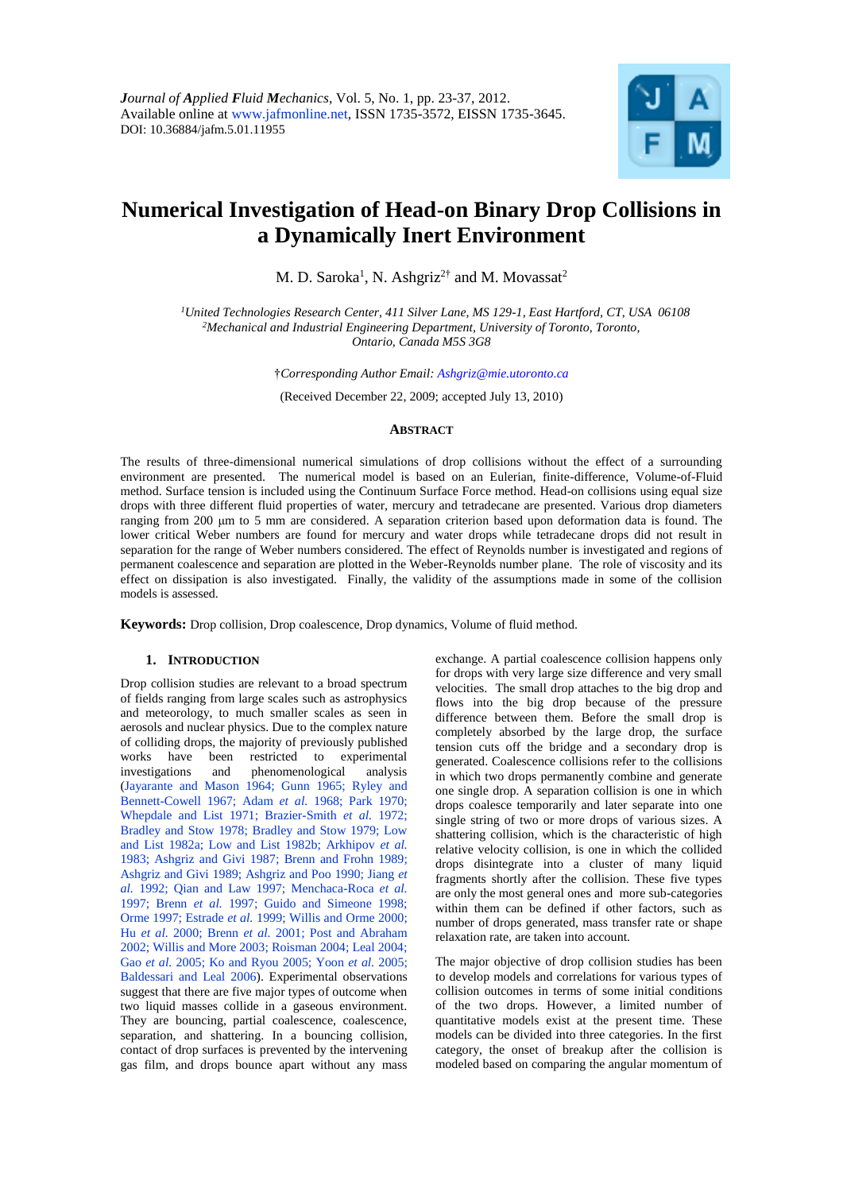

# **Numerical Investigation of Head-on Binary Drop Collisions in a Dynamically Inert Environment**

M. D. Saroka<sup>1</sup>, N. Ashgriz<sup>2†</sup> and M. Movassat<sup>2</sup>

*<sup>1</sup>United Technologies Research Center, 411 Silver Lane, MS 129-1, East Hartford, CT, USA 06108 <sup>2</sup>Mechanical and Industrial Engineering Department, University of Toronto, Toronto, Ontario, Canada M5S 3G8*

†*Corresponding Author Email: Ashgriz@mie.utoronto.ca*

(Received December 22, 2009; accepted July 13, 2010)

# **ABSTRACT**

The results of three-dimensional numerical simulations of drop collisions without the effect of a surrounding environment are presented. The numerical model is based on an Eulerian, finite-difference, Volume-of-Fluid method. Surface tension is included using the Continuum Surface Force method. Head-on collisions using equal size drops with three different fluid properties of water, mercury and tetradecane are presented. Various drop diameters ranging from 200 μm to 5 mm are considered. A separation criterion based upon deformation data is found. The lower critical Weber numbers are found for mercury and water drops while tetradecane drops did not result in separation for the range of Weber numbers considered. The effect of Reynolds number is investigated and regions of permanent coalescence and separation are plotted in the Weber-Reynolds number plane. The role of viscosity and its effect on dissipation is also investigated. Finally, the validity of the assumptions made in some of the collision models is assessed.

**Keywords:** Drop collision, Drop coalescence, Drop dynamics, Volume of fluid method.

# **1. INTRODUCTION**

Drop collision studies are relevant to a broad spectrum of fields ranging from large scales such as astrophysics and meteorology, to much smaller scales as seen in aerosols and nuclear physics. Due to the complex nature of colliding drops, the majority of previously published works have been restricted to experimental investigations and phenomenological analysis (Jayarante and Mason 1964; Gunn 1965; Ryley and Bennett-Cowell 1967; Adam *et al.* 1968; Park 1970; Whepdale and List 1971; Brazier-Smith *et al.* 1972; Bradley and Stow 1978; Bradley and Stow 1979; Low and List 1982a; Low and List 1982b; Arkhipov *et al.*  1983; Ashgriz and Givi 1987; Brenn and Frohn 1989; Ashgriz and Givi 1989; Ashgriz and Poo 1990; Jiang *et al.* 1992; Qian and Law 1997; Menchaca-Roca *et al.*  1997; Brenn *et al.* 1997; Guido and Simeone 1998; Orme 1997; Estrade *et al.* 1999; Willis and Orme 2000; Hu *et al.* 2000; Brenn *et al.* 2001; Post and Abraham 2002; Willis and More 2003; Roisman 2004; Leal 2004; Gao *et al.* 2005; Ko and Ryou 2005; Yoon *et al.* 2005; Baldessari and Leal 2006). Experimental observations suggest that there are five major types of outcome when two liquid masses collide in a gaseous environment. They are bouncing, partial coalescence, coalescence, separation, and shattering. In a bouncing collision, contact of drop surfaces is prevented by the intervening gas film, and drops bounce apart without any mass

exchange. A partial coalescence collision happens only for drops with very large size difference and very small velocities. The small drop attaches to the big drop and flows into the big drop because of the pressure difference between them. Before the small drop is completely absorbed by the large drop, the surface tension cuts off the bridge and a secondary drop is generated. Coalescence collisions refer to the collisions in which two drops permanently combine and generate one single drop. A separation collision is one in which drops coalesce temporarily and later separate into one single string of two or more drops of various sizes. A shattering collision, which is the characteristic of high relative velocity collision, is one in which the collided drops disintegrate into a cluster of many liquid fragments shortly after the collision. These five types are only the most general ones and more sub-categories within them can be defined if other factors, such as number of drops generated, mass transfer rate or shape relaxation rate, are taken into account.

The major objective of drop collision studies has been to develop models and correlations for various types of collision outcomes in terms of some initial conditions of the two drops. However, a limited number of quantitative models exist at the present time. These models can be divided into three categories. In the first category, the onset of breakup after the collision is modeled based on comparing the angular momentum of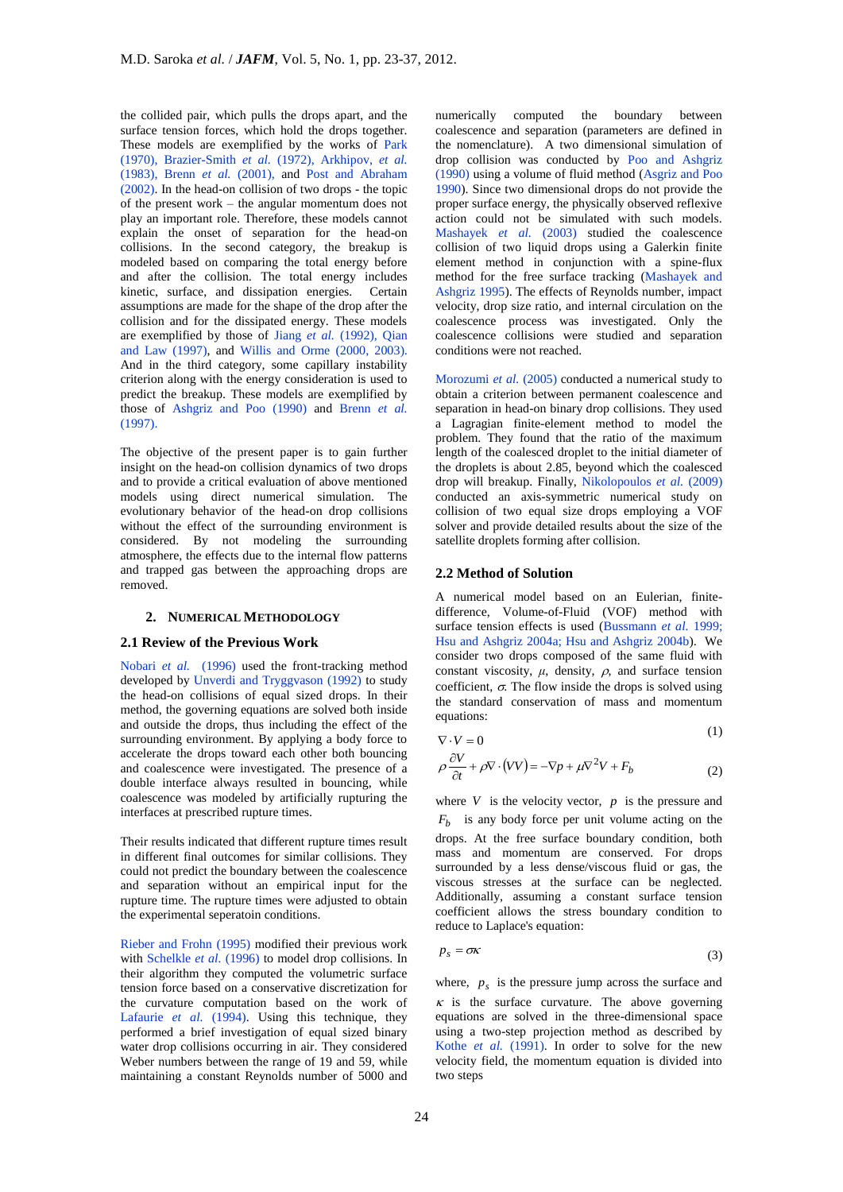the collided pair, which pulls the drops apart, and the surface tension forces, which hold the drops together. These models are exemplified by the works of Park (1970), Brazier-Smith *et al.* (1972), Arkhipov, *et al.*  (1983), Brenn *et al.* (2001), and Post and Abraham (2002). In the head-on collision of two drops - the topic of the present work – the angular momentum does not play an important role. Therefore, these models cannot explain the onset of separation for the head-on collisions. In the second category, the breakup is modeled based on comparing the total energy before and after the collision. The total energy includes kinetic, surface, and dissipation energies. Certain assumptions are made for the shape of the drop after the collision and for the dissipated energy. These models are exemplified by those of Jiang *et al.* (1992), Qian and Law (1997), and Willis and Orme (2000, 2003). And in the third category, some capillary instability criterion along with the energy consideration is used to predict the breakup. These models are exemplified by those of Ashgriz and Poo (1990) and Brenn *et al.*  (1997).

The objective of the present paper is to gain further insight on the head-on collision dynamics of two drops and to provide a critical evaluation of above mentioned models using direct numerical simulation. The evolutionary behavior of the head-on drop collisions without the effect of the surrounding environment is considered. By not modeling the surrounding atmosphere, the effects due to the internal flow patterns and trapped gas between the approaching drops are removed.

## **2. NUMERICAL METHODOLOGY**

## **2.1 Review of the Previous Work**

Nobari *et al.* (1996) used the front-tracking method developed by Unverdi and Tryggvason (1992) to study the head-on collisions of equal sized drops. In their method, the governing equations are solved both inside and outside the drops, thus including the effect of the surrounding environment. By applying a body force to accelerate the drops toward each other both bouncing and coalescence were investigated. The presence of a double interface always resulted in bouncing, while coalescence was modeled by artificially rupturing the interfaces at prescribed rupture times.

Their results indicated that different rupture times result in different final outcomes for similar collisions. They could not predict the boundary between the coalescence and separation without an empirical input for the rupture time. The rupture times were adjusted to obtain the experimental seperatoin conditions.

Rieber and Frohn (1995) modified their previous work with Schelkle *et al.* (1996) to model drop collisions. In their algorithm they computed the volumetric surface tension force based on a conservative discretization for the curvature computation based on the work of Lafaurie *et al.* (1994). Using this technique, they performed a brief investigation of equal sized binary water drop collisions occurring in air. They considered Weber numbers between the range of 19 and 59, while maintaining a constant Reynolds number of 5000 and

numerically computed the boundary between coalescence and separation (parameters are defined in the nomenclature). A two dimensional simulation of drop collision was conducted by Poo and Ashgriz (1990) using a volume of fluid method (Asgriz and Poo 1990). Since two dimensional drops do not provide the proper surface energy, the physically observed reflexive action could not be simulated with such models. Mashayek *et al.* (2003) studied the coalescence collision of two liquid drops using a Galerkin finite element method in conjunction with a spine-flux method for the free surface tracking (Mashayek and Ashgriz 1995). The effects of Reynolds number, impact velocity, drop size ratio, and internal circulation on the coalescence process was investigated. Only the coalescence collisions were studied and separation conditions were not reached.

Morozumi *et al.* (2005) conducted a numerical study to obtain a criterion between permanent coalescence and separation in head-on binary drop collisions. They used a Lagragian finite-element method to model the problem. They found that the ratio of the maximum length of the coalesced droplet to the initial diameter of the droplets is about 2.85, beyond which the coalesced drop will breakup. Finally, Nikolopoulos *et al.* (2009) conducted an axis-symmetric numerical study on collision of two equal size drops employing a VOF solver and provide detailed results about the size of the satellite droplets forming after collision.

# **2.2 Method of Solution**

A numerical model based on an Eulerian, finitedifference, Volume-of-Fluid (VOF) method with surface tension effects is used (Bussmann *et al.* 1999; Hsu and Ashgriz 2004a; Hsu and Ashgriz 2004b). We consider two drops composed of the same fluid with constant viscosity,  $\mu$ , density,  $\rho$ , and surface tension coefficient,  $\sigma$ . The flow inside the drops is solved using the standard conservation of mass and momentum equations:

$$
\nabla \cdot V = 0 \tag{1}
$$

$$
\rho \frac{\partial V}{\partial t} + \rho \nabla \cdot (VV) = -\nabla p + \mu \nabla^2 V + F_b \tag{2}
$$

where  $V$  is the velocity vector,  $p$  is the pressure and  $F_b$  is any body force per unit volume acting on the drops. At the free surface boundary condition, both mass and momentum are conserved. For drops surrounded by a less dense/viscous fluid or gas, the viscous stresses at the surface can be neglected. Additionally, assuming a constant surface tension coefficient allows the stress boundary condition to reduce to Laplace's equation:

$$
p_s = \sigma \kappa \tag{3}
$$

where,  $p_s$  is the pressure jump across the surface and  $\kappa$  is the surface curvature. The above governing equations are solved in the three-dimensional space using a two-step projection method as described by Kothe *et al.* (1991). In order to solve for the new velocity field, the momentum equation is divided into two steps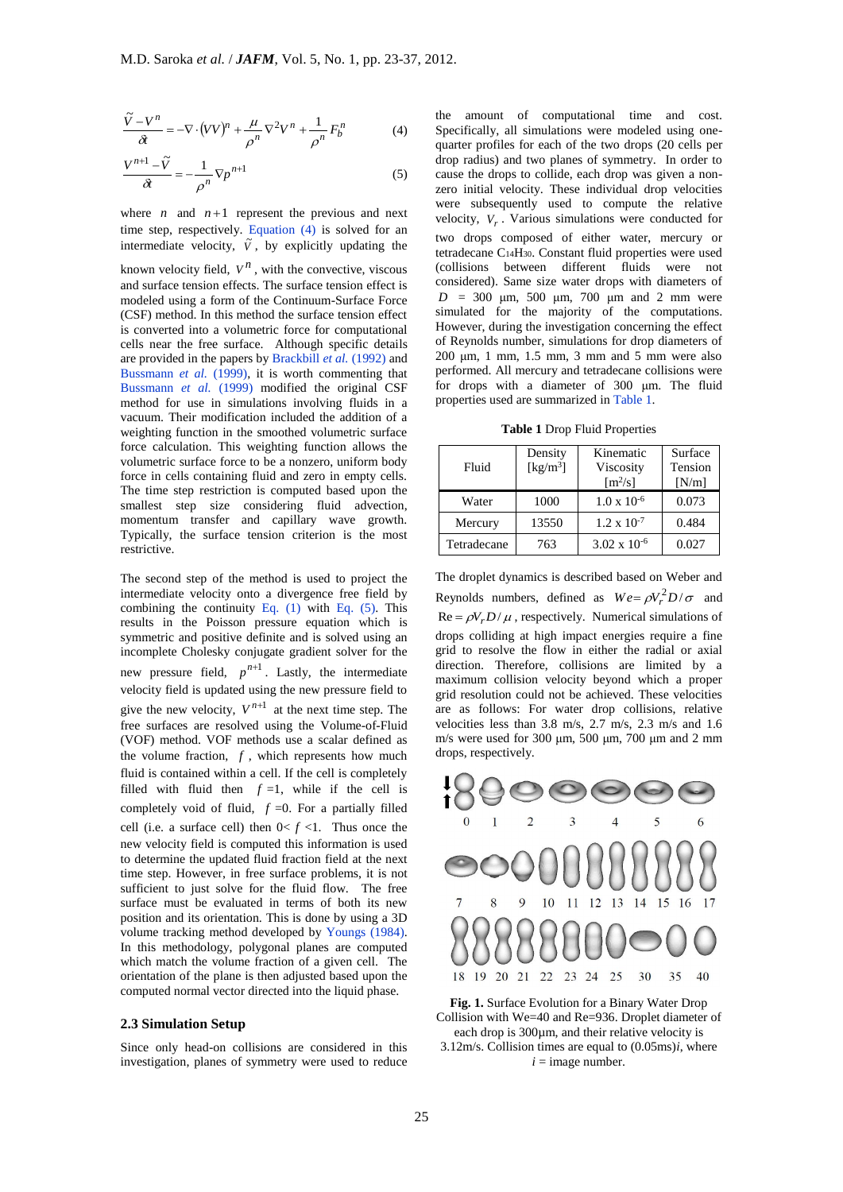$$
\frac{\tilde{V} - V^n}{\partial t} = -\nabla \cdot (VV)^n + \frac{\mu}{\rho^n} \nabla^2 V^n + \frac{1}{\rho^n} F_b^n \tag{4}
$$

$$
\frac{V^{n+1} - \tilde{V}}{\partial t} = -\frac{1}{\rho^n} \nabla p^{n+1}
$$
 (5)

where  $n$  and  $n+1$  represent the previous and next time step, respectively. Equation (4) is solved for an intermediate velocity,  $\tilde{V}$ , by explicitly updating the

known velocity field,  $V^n$ , with the convective, viscous and surface tension effects. The surface tension effect is modeled using a form of the Continuum-Surface Force (CSF) method. In this method the surface tension effect is converted into a volumetric force for computational cells near the free surface. Although specific details are provided in the papers by Brackbill *et al.* (1992) and Bussmann *et al.* (1999), it is worth commenting that Bussmann *et al.* (1999) modified the original CSF method for use in simulations involving fluids in a vacuum. Their modification included the addition of a weighting function in the smoothed volumetric surface force calculation. This weighting function allows the volumetric surface force to be a nonzero, uniform body force in cells containing fluid and zero in empty cells. The time step restriction is computed based upon the smallest step size considering fluid advection, momentum transfer and capillary wave growth. Typically, the surface tension criterion is the most restrictive.

 $(VV)^{\mu} + \frac{A}{2} \int_{P}^{R} V^{2} \gamma^{p} + \frac{1}{2} F_{b}^{R}$  (4)<br>  $\frac{1}{2} \pi V_{p} n + 1$  represent the previous and next ectively, Equation (4) is solved for an<br>
betical of the state of the convertice, viscous<br>
foled,  $V^{R}$ , with the c The second step of the method is used to project the intermediate velocity onto a divergence free field by combining the continuity Eq.  $(1)$  with Eq.  $(5)$ . This results in the Poisson pressure equation which is symmetric and positive definite and is solved using an incomplete Cholesky conjugate gradient solver for the new pressure field,  $p^{n+1}$ . Lastly, the intermediate velocity field is updated using the new pressure field to give the new velocity,  $V^{n+1}$  at the next time step. The free surfaces are resolved using the Volume-of-Fluid (VOF) method. VOF methods use a scalar defined as the volume fraction,  $f$ , which represents how much fluid is contained within a cell. If the cell is completely filled with fluid then  $f = 1$ , while if the cell is completely void of fluid,  $f = 0$ . For a partially filled cell (i.e. a surface cell) then  $0 < f < 1$ . Thus once the new velocity field is computed this information is used to determine the updated fluid fraction field at the next time step. However, in free surface problems, it is not sufficient to just solve for the fluid flow. The free surface must be evaluated in terms of both its new position and its orientation. This is done by using a 3D volume tracking method developed by Youngs (1984). In this methodology, polygonal planes are computed which match the volume fraction of a given cell. The orientation of the plane is then adjusted based upon the computed normal vector directed into the liquid phase.

#### **2.3 Simulation Setup**

Since only head-on collisions are considered in this investigation, planes of symmetry were used to reduce

( the amount of computational time and cost. Specifically, all simulations were modeled using onequarter profiles for each of the two drops (20 cells per drop radius) and two planes of symmetry. In order to cause the drops to collide, each drop was given a nonzero initial velocity. These individual drop velocities were subsequently used to compute the relative velocity,  $V_r$ . Various simulations were conducted for two drops composed of either water, mercury or tetradecane C14H30. Constant fluid properties were used (collisions between different fluids were not considered). Same size water drops with diameters of  $D = 300$  μm, 500 μm, 700 μm and 2 mm were simulated for the majority of the computations. However, during the investigation concerning the effect of Reynolds number, simulations for drop diameters of 200 μm, 1 mm, 1.5 mm, 3 mm and 5 mm were also performed. All mercury and tetradecane collisions were for drops with a diameter of 300 μm. The fluid properties used are summarized in Table 1.

**Table 1** Drop Fluid Properties

| Fluid       | Density<br>[ $\text{kg/m}^3$ ] | Kinematic<br>Viscosity<br>$\lceil m^2/s \rceil$ | Surface<br>Tension<br>[N/m] |
|-------------|--------------------------------|-------------------------------------------------|-----------------------------|
| Water       | 1000                           | $1.0 \times 10^{-6}$                            | 0.073                       |
| Mercury     | 13550                          | $1.2 \times 10^{-7}$                            | 0.484                       |
| Tetradecane | 763                            | $3.02 \times 10^{-6}$                           | 0.027                       |

The droplet dynamics is described based on Weber and Reynolds numbers, defined as  $We = \rho V_r^2 D / \sigma$  and  $\text{Re} = \rho V_r D / \mu$ , respectively. Numerical simulations of drops colliding at high impact energies require a fine grid to resolve the flow in either the radial or axial direction. Therefore, collisions are limited by a maximum collision velocity beyond which a proper grid resolution could not be achieved. These velocities are as follows: For water drop collisions, relative velocities less than 3.8 m/s, 2.7 m/s, 2.3 m/s and 1.6 m/s were used for 300 μm, 500 μm, 700 μm and 2 mm drops, respectively.



**Fig. 1.** Surface Evolution for a Binary Water Drop Collision with We=40 and Re=936. Droplet diameter of each drop is 300<sub>um</sub>, and their relative velocity is 3.12m/s. Collision times are equal to (0.05ms)*i*, where

 $i =$ image number.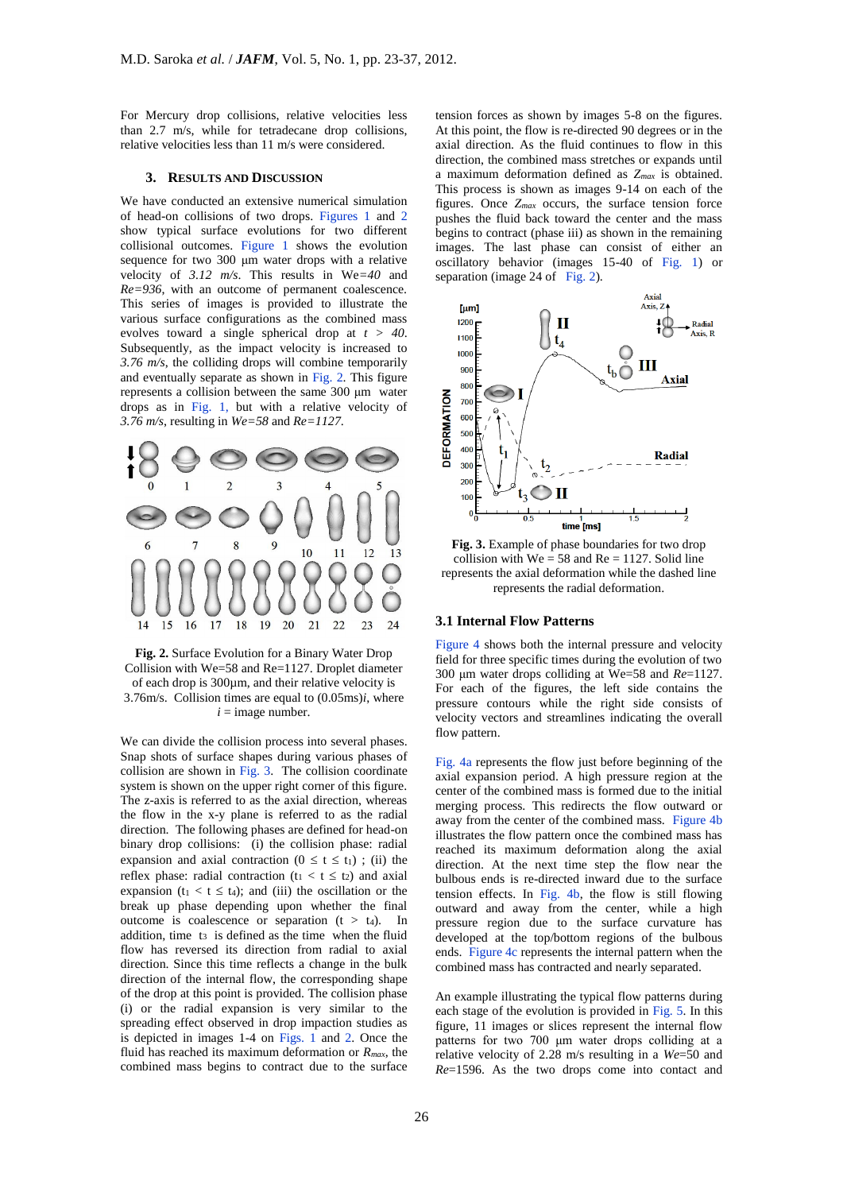For Mercury drop collisions, relative velocities less than 2.7 m/s, while for tetradecane drop collisions, relative velocities less than 11 m/s were considered.

#### **3. RESULTS AND DISCUSSION**

We have conducted an extensive numerical simulation of head-on collisions of two drops. Figures 1 and 2 show typical surface evolutions for two different collisional outcomes. Figure 1 shows the evolution sequence for two 300 μm water drops with a relative velocity of *3.12 m/s*. This results in We*=40* and *Re=936*, with an outcome of permanent coalescence. This series of images is provided to illustrate the various surface configurations as the combined mass evolves toward a single spherical drop at *t > 40*. Subsequently, as the impact velocity is increased to *3.76 m/s*, the colliding drops will combine temporarily and eventually separate as shown in Fig. 2. This figure represents a collision between the same 300 μm water drops as in Fig. 1, but with a relative velocity of *3.76 m/s*, resulting in *We=58* and *Re=1127*.





We can divide the collision process into several phases. Snap shots of surface shapes during various phases of collision are shown in Fig. 3. The collision coordinate system is shown on the upper right corner of this figure. The z-axis is referred to as the axial direction, whereas the flow in the x-y plane is referred to as the radial direction. The following phases are defined for head-on binary drop collisions: (i) the collision phase: radial expansion and axial contraction ( $0 \le t \le t_1$ ); (ii) the reflex phase: radial contraction ( $t_1 < t \le t_2$ ) and axial expansion (t<sub>1</sub> < t  $\leq$  t<sub>4</sub>); and (iii) the oscillation or the break up phase depending upon whether the final outcome is coalescence or separation  $(t > t_4)$ . In addition, time t<sub>3</sub> is defined as the time when the fluid flow has reversed its direction from radial to axial direction. Since this time reflects a change in the bulk direction of the internal flow, the corresponding shape of the drop at this point is provided. The collision phase (i) or the radial expansion is very similar to the spreading effect observed in drop impaction studies as is depicted in images 1-4 on Figs. 1 and 2. Once the fluid has reached its maximum deformation or *Rmax*, the combined mass begins to contract due to the surface

tension forces as shown by images 5-8 on the figures. At this point, the flow is re-directed 90 degrees or in the axial direction. As the fluid continues to flow in this direction, the combined mass stretches or expands until a maximum deformation defined as *Zmax* is obtained. This process is shown as images 9-14 on each of the figures. Once *Zmax* occurs, the surface tension force pushes the fluid back toward the center and the mass begins to contract (phase iii) as shown in the remaining images. The last phase can consist of either an oscillatory behavior (images 15-40 of Fig. 1) or separation (image 24 of Fig. 2).



**Fig. 3.** Example of phase boundaries for two drop collision with  $We = 58$  and  $Re = 1127$ . Solid line represents the axial deformation while the dashed line represents the radial deformation.

#### **3.1 Internal Flow Patterns**

Figure 4 shows both the internal pressure and velocity field for three specific times during the evolution of two 300 μm water drops colliding at We=58 and *Re*=1127. For each of the figures, the left side contains the pressure contours while the right side consists of velocity vectors and streamlines indicating the overall flow pattern.

Fig. 4a represents the flow just before beginning of the axial expansion period. A high pressure region at the center of the combined mass is formed due to the initial merging process. This redirects the flow outward or away from the center of the combined mass. Figure 4b illustrates the flow pattern once the combined mass has reached its maximum deformation along the axial direction. At the next time step the flow near the bulbous ends is re-directed inward due to the surface tension effects. In Fig. 4b, the flow is still flowing outward and away from the center, while a high pressure region due to the surface curvature has developed at the top/bottom regions of the bulbous ends. Figure 4c represents the internal pattern when the combined mass has contracted and nearly separated.

An example illustrating the typical flow patterns during each stage of the evolution is provided in Fig. 5. In this figure, 11 images or slices represent the internal flow patterns for two 700 μm water drops colliding at a relative velocity of 2.28 m/s resulting in a *We*=50 and *Re*=1596. As the two drops come into contact and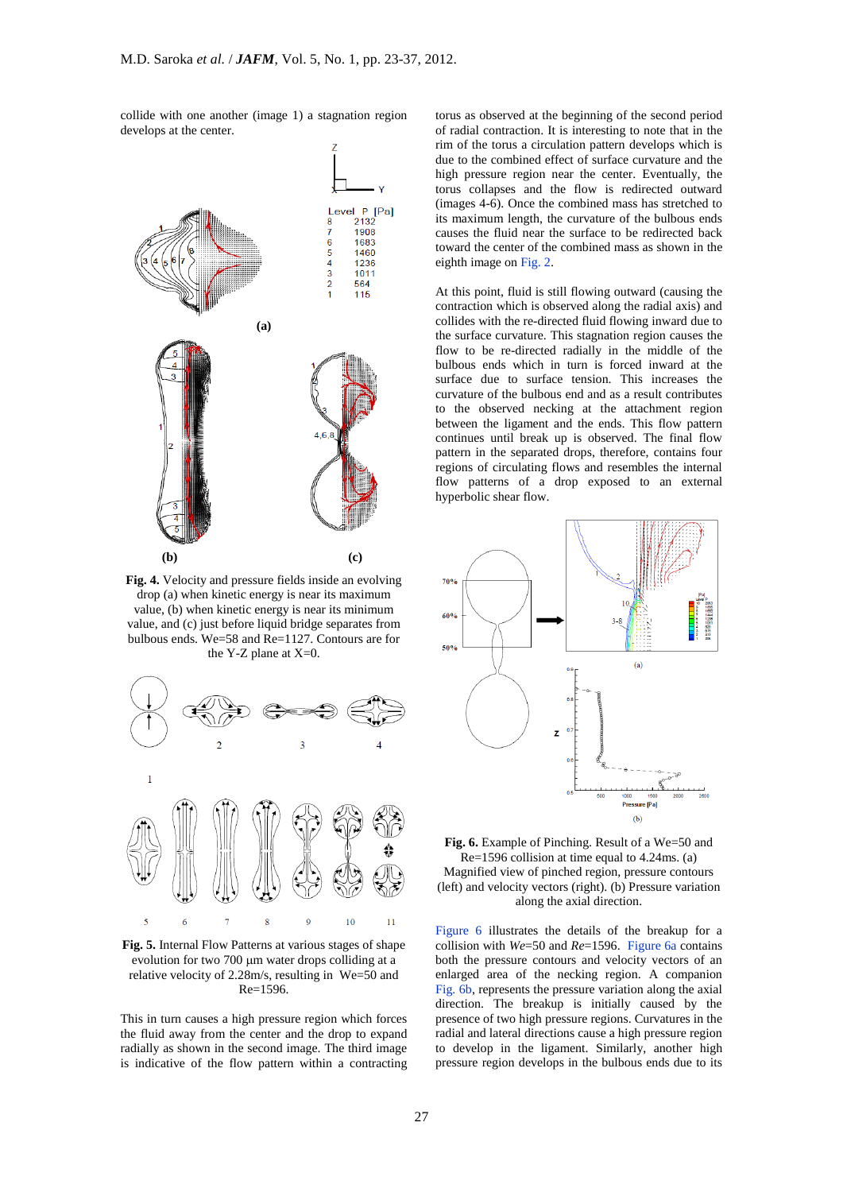collide with one another (image 1) a stagnation region develops at the center.



**Fig. 4.** Velocity and pressure fields inside an evolving drop (a) when kinetic energy is near its maximum value, (b) when kinetic energy is near its minimum value, and (c) just before liquid bridge separates from bulbous ends. We=58 and Re=1127. Contours are for the Y-Z plane at  $X=0$ .



**Fig. 5.** Internal Flow Patterns at various stages of shape evolution for two 700 µm water drops colliding at a relative velocity of 2.28m/s, resulting in We=50 and Re=1596.

This in turn causes a high pressure region which forces the fluid away from the center and the drop to expand radially as shown in the second image. The third image is indicative of the flow pattern within a contracting torus as observed at the beginning of the second period of radial contraction. It is interesting to note that in the rim of the torus a circulation pattern develops which is due to the combined effect of surface curvature and the high pressure region near the center. Eventually, the torus collapses and the flow is redirected outward (images 4-6). Once the combined mass has stretched to its maximum length, the curvature of the bulbous ends causes the fluid near the surface to be redirected back toward the center of the combined mass as shown in the eighth image on Fig. 2.

At this point, fluid is still flowing outward (causing the contraction which is observed along the radial axis) and collides with the re-directed fluid flowing inward due to the surface curvature. This stagnation region causes the flow to be re-directed radially in the middle of the bulbous ends which in turn is forced inward at the surface due to surface tension. This increases the curvature of the bulbous end and as a result contributes to the observed necking at the attachment region between the ligament and the ends. This flow pattern continues until break up is observed. The final flow pattern in the separated drops, therefore, contains four regions of circulating flows and resembles the internal flow patterns of a drop exposed to an external hyperbolic shear flow.



**Fig. 6.** Example of Pinching. Result of a We=50 and Re=1596 collision at time equal to 4.24ms. (a) Magnified view of pinched region, pressure contours (left) and velocity vectors (right). (b) Pressure variation along the axial direction.

Figure 6 illustrates the details of the breakup for a collision with *We*=50 and *Re*=1596. Figure 6a contains both the pressure contours and velocity vectors of an enlarged area of the necking region. A companion Fig. 6b, represents the pressure variation along the axial direction. The breakup is initially caused by the presence of two high pressure regions. Curvatures in the radial and lateral directions cause a high pressure region to develop in the ligament. Similarly, another high pressure region develops in the bulbous ends due to its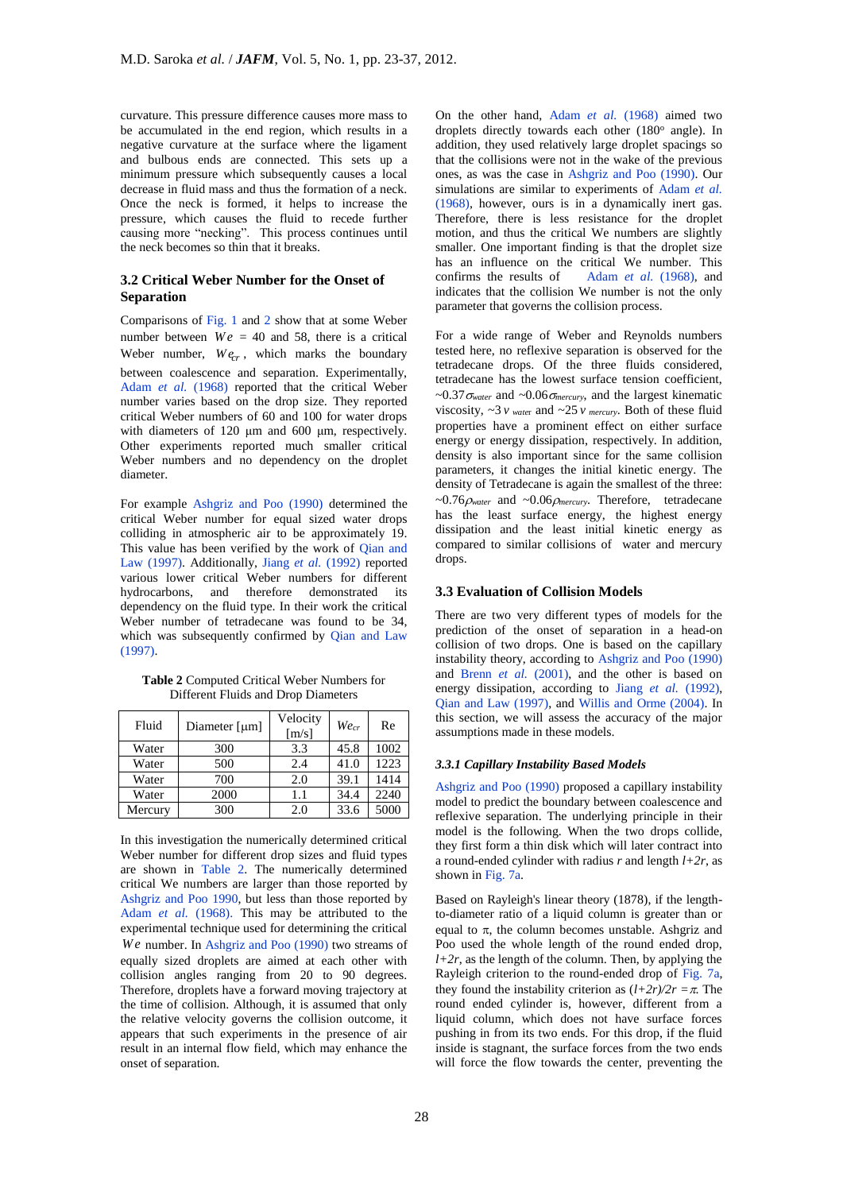curvature. This pressure difference causes more mass to be accumulated in the end region, which results in a negative curvature at the surface where the ligament and bulbous ends are connected. This sets up a minimum pressure which subsequently causes a local decrease in fluid mass and thus the formation of a neck. Once the neck is formed, it helps to increase the pressure, which causes the fluid to recede further causing more "necking". This process continues until the neck becomes so thin that it breaks.

# **3.2 Critical Weber Number for the Onset of Separation**

Comparisons of Fig. 1 and 2 show that at some Weber number between  $We = 40$  and 58, there is a critical Weber number,  $W_{e_r}$ , which marks the boundary between coalescence and separation. Experimentally, Adam *et al.* (1968) reported that the critical Weber number varies based on the drop size. They reported critical Weber numbers of 60 and 100 for water drops with diameters of 120 μm and 600 μm, respectively. Other experiments reported much smaller critical Weber numbers and no dependency on the droplet diameter.

For example Ashgriz and Poo (1990) determined the critical Weber number for equal sized water drops colliding in atmospheric air to be approximately 19. This value has been verified by the work of Qian and Law (1997). Additionally, Jiang *et al.* (1992) reported various lower critical Weber numbers for different hydrocarbons, and therefore demonstrated its dependency on the fluid type. In their work the critical Weber number of tetradecane was found to be 34, which was subsequently confirmed by Oian and Law  $(1997)$ 

**Table 2** Computed Critical Weber Numbers for Different Fluids and Drop Diameters

| Fluid   | Diameter $[µm]$ | Velocity<br>[m/s] | Wecr | Re   |
|---------|-----------------|-------------------|------|------|
| Water   | 300             | 3.3               | 45.8 | 1002 |
| Water   | 500             | 2.4               | 41.0 | 1223 |
| Water   | 700             | 2.0               | 39.1 | 1414 |
| Water   | 2000            | 1.1               | 34.4 | 2240 |
| Mercury | 300             | 2.0               | 33.6 | 5000 |

In this investigation the numerically determined critical Weber number for different drop sizes and fluid types are shown in Table 2. The numerically determined critical We numbers are larger than those reported by Ashgriz and Poo 1990, but less than those reported by Adam *et al.* (1968). This may be attributed to the experimental technique used for determining the critical We number. In Ashgriz and Poo (1990) two streams of equally sized droplets are aimed at each other with collision angles ranging from 20 to 90 degrees. Therefore, droplets have a forward moving trajectory at the time of collision. Although, it is assumed that only the relative velocity governs the collision outcome, it appears that such experiments in the presence of air result in an internal flow field, which may enhance the onset of separation.

On the other hand, Adam *et al.* (1968) aimed two droplets directly towards each other (180° angle). In addition, they used relatively large droplet spacings so that the collisions were not in the wake of the previous ones, as was the case in Ashgriz and Poo (1990). Our simulations are similar to experiments of Adam *et al.*  (1968), however, ours is in a dynamically inert gas. Therefore, there is less resistance for the droplet motion, and thus the critical We numbers are slightly smaller. One important finding is that the droplet size has an influence on the critical We number. This confirms the results of Adam *et al.* (1968), and indicates that the collision We number is not the only parameter that governs the collision process.

For a wide range of Weber and Reynolds numbers tested here, no reflexive separation is observed for the tetradecane drops. Of the three fluids considered, tetradecane has the lowest surface tension coefficient,  $\sim 0.37 \sigma_{water}$  and  $\sim 0.06 \sigma_{mercury}$ , and the largest kinematic viscosity,  $\sim$  3  $\nu$  *water* and  $\sim$  25  $\nu$  *mercury*. Both of these fluid properties have a prominent effect on either surface energy or energy dissipation, respectively. In addition, density is also important since for the same collision parameters, it changes the initial kinetic energy. The density of Tetradecane is again the smallest of the three:  $~\sim 0.76 \rho_{water}$  and  $~\sim 0.06 \rho_{mercury}$ . Therefore, tetradecane has the least surface energy, the highest energy dissipation and the least initial kinetic energy as compared to similar collisions of water and mercury drops.

## **3.3 Evaluation of Collision Models**

There are two very different types of models for the prediction of the onset of separation in a head-on collision of two drops. One is based on the capillary instability theory, according to Ashgriz and Poo (1990) and Brenn *et al.* (2001), and the other is based on energy dissipation, according to Jiang *et al.* (1992), Qian and Law (1997), and Willis and Orme (2004). In this section, we will assess the accuracy of the major assumptions made in these models.

## *3.3.1 Capillary Instability Based Models*

Ashgriz and Poo (1990) proposed a capillary instability model to predict the boundary between coalescence and reflexive separation. The underlying principle in their model is the following. When the two drops collide, they first form a thin disk which will later contract into a round-ended cylinder with radius  $r$  and length  $l+2r$ , as shown in Fig. 7a.

Based on Rayleigh's linear theory (1878), if the lengthto-diameter ratio of a liquid column is greater than or equal to  $\pi$ , the column becomes unstable. Ashgriz and Poo used the whole length of the round ended drop,  $l+2r$ , as the length of the column. Then, by applying the Rayleigh criterion to the round-ended drop of Fig. 7a, they found the instability criterion as  $(l+2r)/2r = \pi$ . The round ended cylinder is, however, different from a liquid column, which does not have surface forces pushing in from its two ends. For this drop, if the fluid inside is stagnant, the surface forces from the two ends will force the flow towards the center, preventing the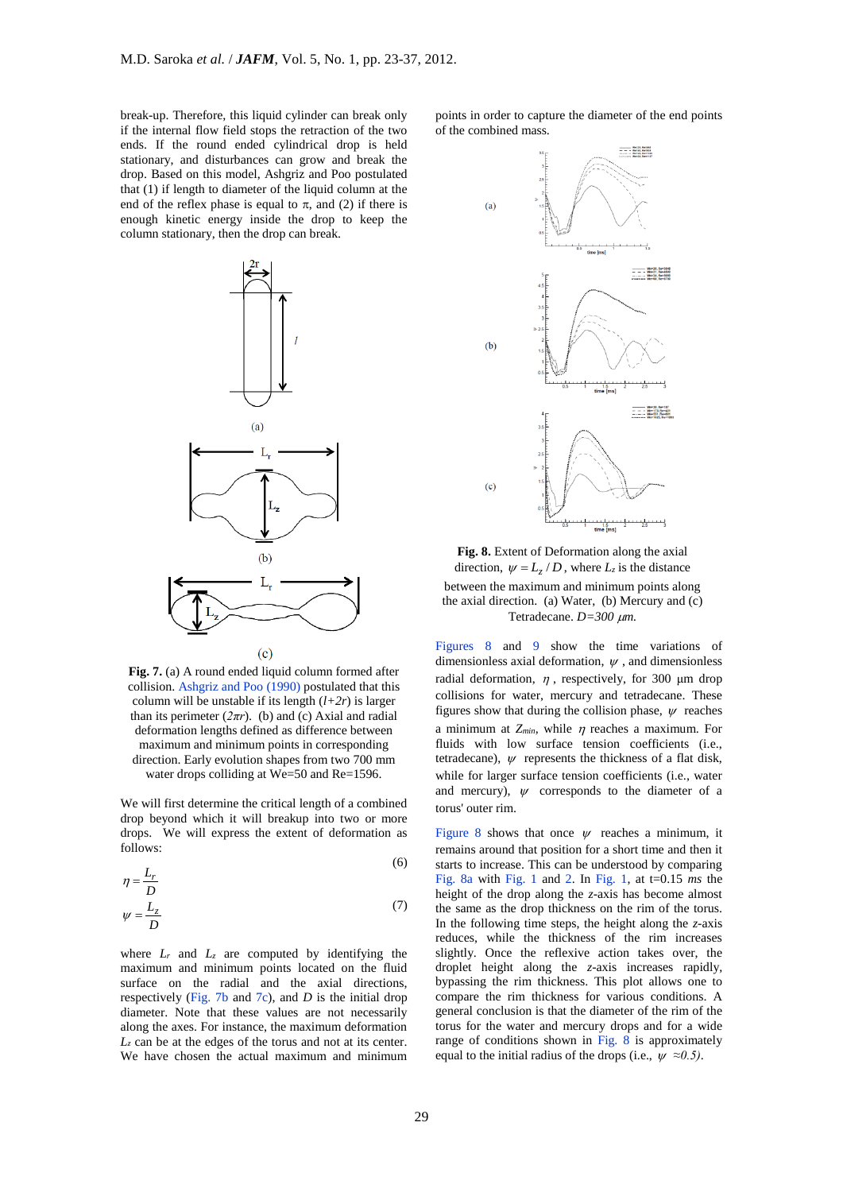break-up. Therefore, this liquid cylinder can break only if the internal flow field stops the retraction of the two ends. If the round ended cylindrical drop is held stationary, and disturbances can grow and break the drop. Based on this model, Ashgriz and Poo postulated that (1) if length to diameter of the liquid column at the end of the reflex phase is equal to  $\pi$ , and (2) if there is enough kinetic energy inside the drop to keep the column stationary, then the drop can break.



**Fig. 7.** (a) A round ended liquid column formed after collision. Ashgriz and Poo (1990) postulated that this column will be unstable if its length (*l+2r*) is larger than its perimeter  $(2\pi r)$ . (b) and (c) Axial and radial deformation lengths defined as difference between maximum and minimum points in corresponding direction. Early evolution shapes from two 700 mm water drops colliding at We=50 and Re=1596.

We will first determine the critical length of a combined drop beyond which it will breakup into two or more drops. We will express the extent of deformation as follows:  $\sqrt{6}$ 

$$
\eta = \frac{L_r}{D}
$$
\n
$$
\psi = \frac{L_z}{D}
$$
\n(7)

where  $L_r$  and  $L_z$  are computed by identifying the maximum and minimum points located on the fluid surface on the radial and the axial directions, respectively (Fig. 7b and 7c), and *D* is the initial drop diameter. Note that these values are not necessarily along the axes. For instance, the maximum deformation *L<sup>z</sup>* can be at the edges of the torus and not at its center. We have chosen the actual maximum and minimum

points in order to capture the diameter of the end points of the combined mass.



**Fig. 8.** Extent of Deformation along the axial direction,  $\psi = L_z / D$ , where  $L_z$  is the distance between the maximum and minimum points along the axial direction. (a) Water, (b) Mercury and (c) Tetradecane. *D=300 m.*

Figures 8 and 9 show the time variations of dimensionless axial deformation,  $\psi$ , and dimensionless radial deformation,  $\eta$ , respectively, for 300  $\mu$ m drop collisions for water, mercury and tetradecane. These figures show that during the collision phase,  $\psi$  reaches a minimum at  $Z_{min}$ , while  $\eta$  reaches a maximum. For fluids with low surface tension coefficients (i.e., tetradecane),  $\psi$  represents the thickness of a flat disk, while for larger surface tension coefficients (i.e., water and mercury),  $\psi$  corresponds to the diameter of a torus' outer rim.

Figure 8 shows that once  $\psi$  reaches a minimum, it remains around that position for a short time and then it starts to increase. This can be understood by comparing Fig. 8a with Fig. 1 and 2. In Fig. 1, at t=0.15 *ms* the height of the drop along the *z*-axis has become almost the same as the drop thickness on the rim of the torus. In the following time steps, the height along the *z*-axis reduces, while the thickness of the rim increases slightly. Once the reflexive action takes over, the droplet height along the *z*-axis increases rapidly, bypassing the rim thickness. This plot allows one to compare the rim thickness for various conditions. A general conclusion is that the diameter of the rim of the torus for the water and mercury drops and for a wide range of conditions shown in Fig. 8 is approximately equal to the initial radius of the drops (i.e.,  $\psi \approx 0.5$ ).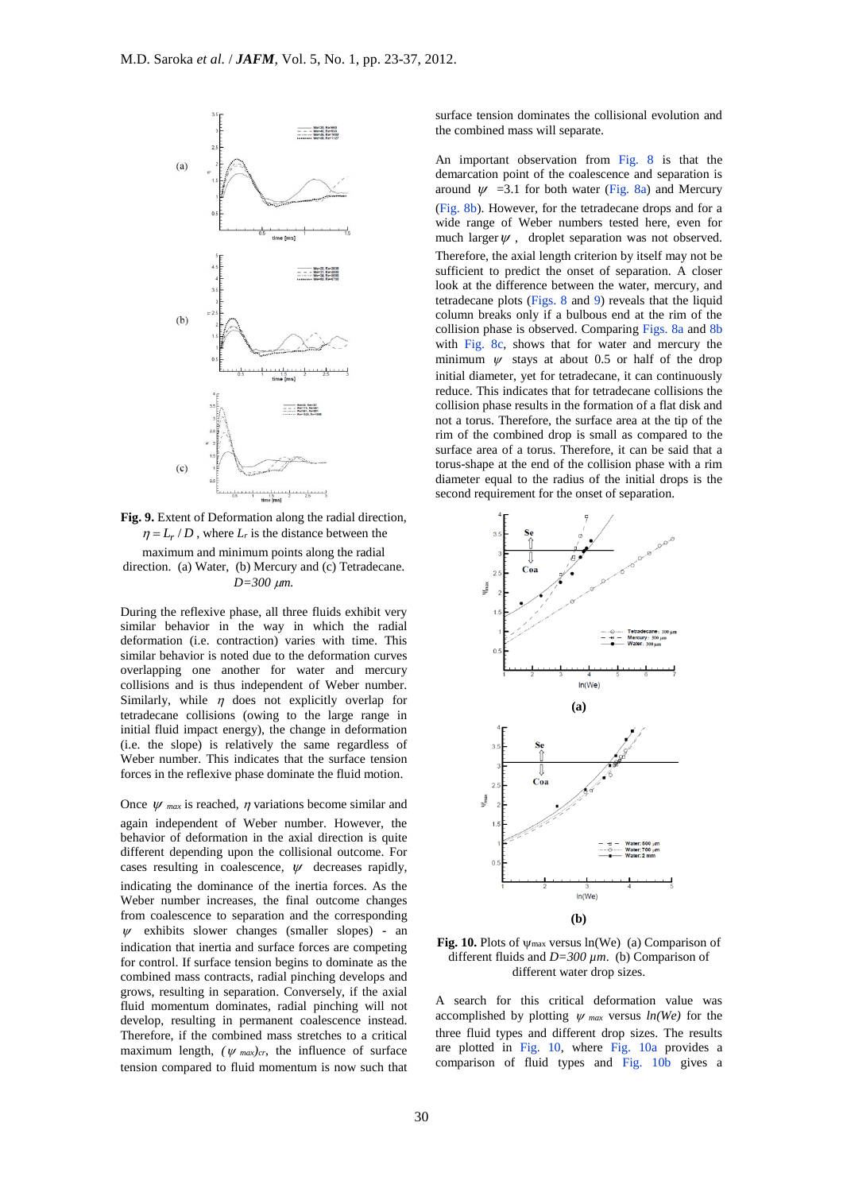

**Fig. 9.** Extent of Deformation along the radial direction,  $\eta = L_r / D$ , where  $L_r$  is the distance between the maximum and minimum points along the radial direction. (a) Water, (b) Mercury and (c) Tetradecane. *D=300 m.*

During the reflexive phase, all three fluids exhibit very similar behavior in the way in which the radial deformation (i.e. contraction) varies with time. This similar behavior is noted due to the deformation curves overlapping one another for water and mercury collisions and is thus independent of Weber number. Similarly, while  $\eta$  does not explicitly overlap for tetradecane collisions (owing to the large range in initial fluid impact energy), the change in deformation (i.e. the slope) is relatively the same regardless of Weber number. This indicates that the surface tension forces in the reflexive phase dominate the fluid motion.

Once  $\psi$  <sub>max</sub> is reached,  $\eta$  variations become similar and again independent of Weber number. However, the behavior of deformation in the axial direction is quite different depending upon the collisional outcome. For cases resulting in coalescence,  $\psi$  decreases rapidly, indicating the dominance of the inertia forces. As the Weber number increases, the final outcome changes from coalescence to separation and the corresponding  $\mathbf{w}$ exhibits slower changes (smaller slopes) - an indication that inertia and surface forces are competing for control. If surface tension begins to dominate as the combined mass contracts, radial pinching develops and grows, resulting in separation. Conversely, if the axial fluid momentum dominates, radial pinching will not develop, resulting in permanent coalescence instead. Therefore, if the combined mass stretches to a critical maximum length,  $(\psi_{max})_{cr}$ , the influence of surface tension compared to fluid momentum is now such that

surface tension dominates the collisional evolution and the combined mass will separate.

An important observation from Fig. 8 is that the demarcation point of the coalescence and separation is around  $\psi$  =3.1 for both water (Fig. 8a) and Mercury (Fig. 8b). However, for the tetradecane drops and for a wide range of Weber numbers tested here, even for much larger  $\psi$ , droplet separation was not observed. Therefore, the axial length criterion by itself may not be sufficient to predict the onset of separation. A closer look at the difference between the water, mercury, and tetradecane plots (Figs. 8 and 9) reveals that the liquid column breaks only if a bulbous end at the rim of the collision phase is observed. Comparing Figs. 8a and 8b with Fig. 8c, shows that for water and mercury the minimum  $\psi$  stays at about 0.5 or half of the drop initial diameter, yet for tetradecane, it can continuously reduce. This indicates that for tetradecane collisions the collision phase results in the formation of a flat disk and not a torus. Therefore, the surface area at the tip of the rim of the combined drop is small as compared to the surface area of a torus. Therefore, it can be said that a torus-shape at the end of the collision phase with a rim diameter equal to the radius of the initial drops is the second requirement for the onset of separation.



**Fig. 10.** Plots of  $\psi_{\text{max}}$  versus ln(We) (a) Comparison of different fluids and *D=300 µm*. (b) Comparison of different water drop sizes.

A search for this critical deformation value was accomplished by plotting  $\psi$  max versus  $ln(We)$  for the three fluid types and different drop sizes. The results are plotted in Fig. 10, where Fig. 10a provides a comparison of fluid types and Fig. 10b gives a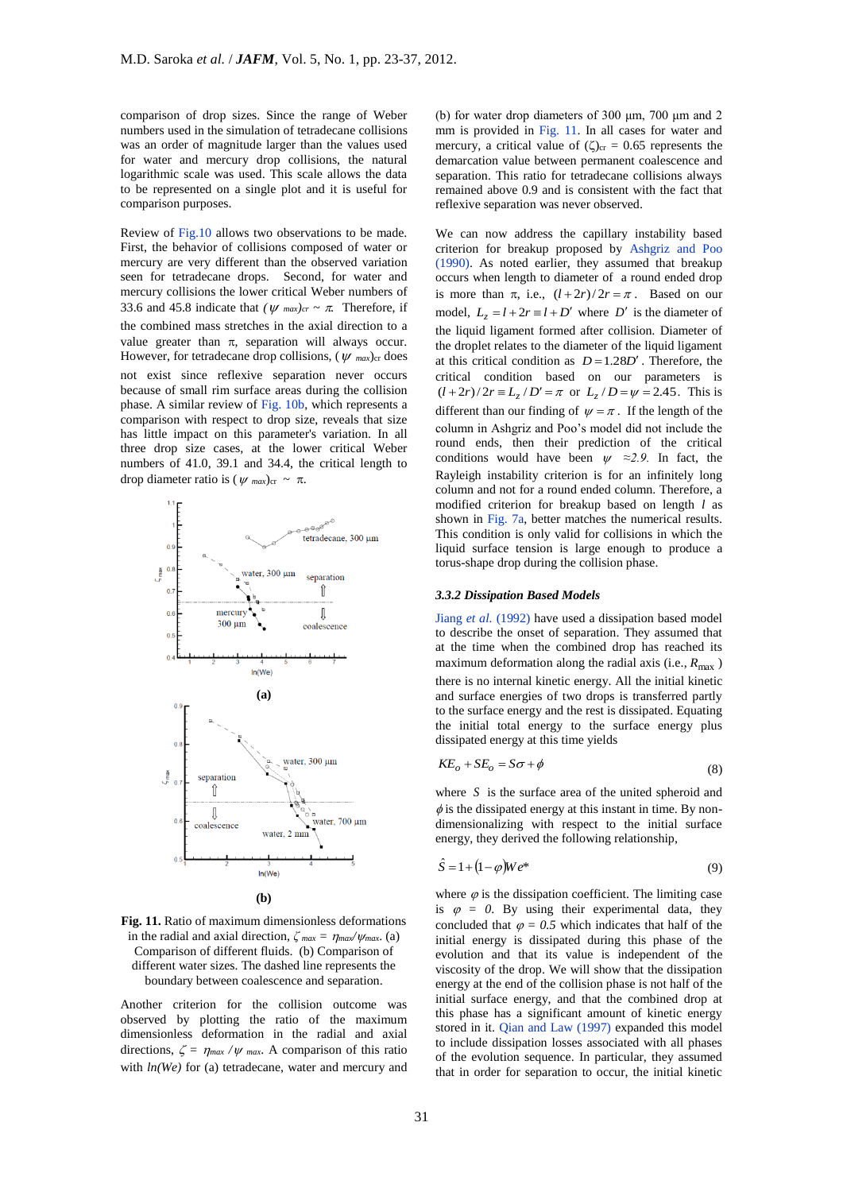comparison of drop sizes. Since the range of Weber numbers used in the simulation of tetradecane collisions was an order of magnitude larger than the values used for water and mercury drop collisions, the natural logarithmic scale was used. This scale allows the data to be represented on a single plot and it is useful for comparison purposes.

Review of Fig.10 allows two observations to be made. First, the behavior of collisions composed of water or mercury are very different than the observed variation seen for tetradecane drops. Second, for water and mercury collisions the lower critical Weber numbers of 33.6 and 45.8 indicate that  $(\psi_{max})_{cr} \sim \pi$ . Therefore, if the combined mass stretches in the axial direction to a value greater than  $\pi$ , separation will always occur. However, for tetradecane drop collisions,  $(\psi_{max})_{cr}$  does not exist since reflexive separation never occurs because of small rim surface areas during the collision phase. A similar review of Fig. 10b, which represents a comparison with respect to drop size, reveals that size has little impact on this parameter's variation. In all three drop size cases, at the lower critical Weber numbers of 41.0, 39.1 and 34.4, the critical length to drop diameter ratio is  $(\psi_{max})_{cr} \sim \pi$ .



**Fig. 11.** Ratio of maximum dimensionless deformations in the radial and axial direction,  $\zeta_{max} = \eta_{max}/\psi_{max}$ . (a) Comparison of different fluids. (b) Comparison of different water sizes. The dashed line represents the boundary between coalescence and separation.

Another criterion for the collision outcome was observed by plotting the ratio of the maximum dimensionless deformation in the radial and axial directions,  $\zeta = \eta_{max}/\psi_{max}$ . A comparison of this ratio with  $ln(We)$  for (a) tetradecane, water and mercury and

(b) for water drop diameters of 300 μm, 700 μm and 2 mm is provided in Fig. 11. In all cases for water and mercury, a critical value of  $(\zeta)_{cr} = 0.65$  represents the demarcation value between permanent coalescence and separation. This ratio for tetradecane collisions always remained above 0.9 and is consistent with the fact that reflexive separation was never observed.

We can now address the capillary instability based criterion for breakup proposed by Ashgriz and Poo (1990). As noted earlier, they assumed that breakup occurs when length to diameter of a round ended drop is more than  $\pi$ , i.e.,  $(l+2r)/2r = \pi$ . Based on our model,  $L_z = l + 2r \equiv l + D'$  where  $D'$  is the diameter of the liquid ligament formed after collision*.* Diameter of the droplet relates to the diameter of the liquid ligament at this critical condition as  $D = 1.28D'$ . Therefore, the critical condition based on our parameters is  $(l+2r)/2r \equiv L_z/D' = \pi$  or  $L_z/D = \psi = 2.45$ . This is different than our finding of  $\psi = \pi$ . If the length of the column in Ashgriz and Poo's model did not include the round ends, then their prediction of the critical conditions would have been  $\psi \approx 2.9$ . In fact, the Rayleigh instability criterion is for an infinitely long column and not for a round ended column. Therefore, a modified criterion for breakup based on length *l* as shown in Fig. 7a, better matches the numerical results. This condition is only valid for collisions in which the liquid surface tension is large enough to produce a torus-shape drop during the collision phase.

## *3.3.2 Dissipation Based Models*

Jiang *et al.* (1992) have used a dissipation based model to describe the onset of separation. They assumed that at the time when the combined drop has reached its maximum deformation along the radial axis (i.e.,  $R_{\text{max}}$ ) there is no internal kinetic energy. All the initial kinetic and surface energies of two drops is transferred partly to the surface energy and the rest is dissipated. Equating the initial total energy to the surface energy plus dissipated energy at this time yields

$$
KE_o + SE_o = S\sigma + \phi \tag{8}
$$

where  $S$  is the surface area of the united spheroid and  $\phi$  is the dissipated energy at this instant in time. By nondimensionalizing with respect to the initial surface energy, they derived the following relationship,

$$
\hat{S} = 1 + \left(1 - \varphi\right) W e^* \tag{9}
$$

where  $\varphi$  is the dissipation coefficient. The limiting case is  $\varphi = 0$ . By using their experimental data, they concluded that  $\varphi = 0.5$  which indicates that half of the initial energy is dissipated during this phase of the evolution and that its value is independent of the viscosity of the drop. We will show that the dissipation energy at the end of the collision phase is not half of the initial surface energy, and that the combined drop at this phase has a significant amount of kinetic energy stored in it. Qian and Law (1997) expanded this model to include dissipation losses associated with all phases of the evolution sequence. In particular, they assumed that in order for separation to occur, the initial kinetic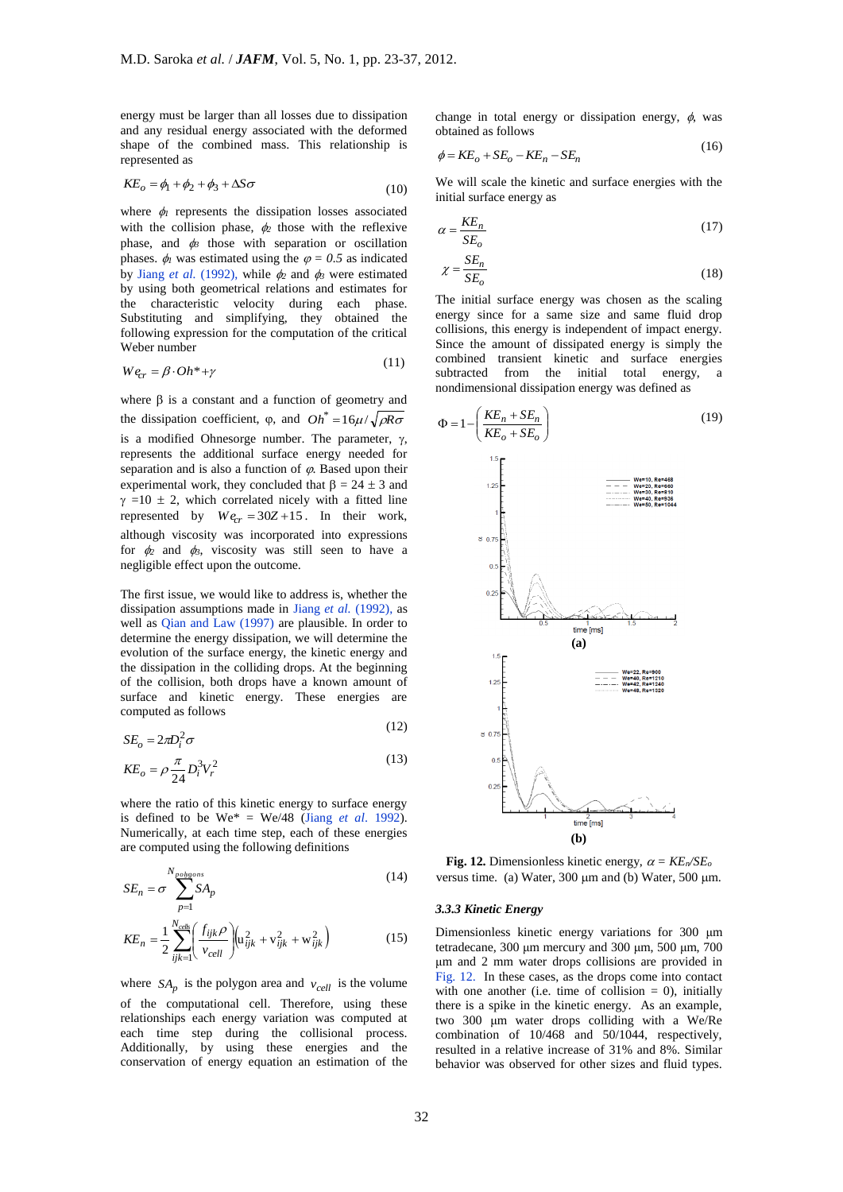energy must be larger than all losses due to dissipation and any residual energy associated with the deformed shape of the combined mass. This relationship is represented as

$$
KE_o = \phi_1 + \phi_2 + \phi_3 + \Delta S \sigma \tag{10}
$$

where  $\phi$  represents the dissipation losses associated with the collision phase,  $\phi_2$  those with the reflexive phase, and  $\phi_3$  those with separation or oscillation phases.  $\phi_l$  was estimated using the  $\varphi = 0.5$  as indicated by Jiang *et al.* (1992), while  $\phi_2$  and  $\phi_3$  were estimated by using both geometrical relations and estimates for the characteristic velocity during each phase. Substituting and simplifying, they obtained the following expression for the computation of the critical Weber number

$$
We_{cr} = \beta \cdot Oh^* + \gamma \tag{11}
$$

where  $\beta$  is a constant and a function of geometry and the dissipation coefficient,  $\varphi$ , and  $Oh^* = 16\mu / \sqrt{\rho R \sigma}$ is a modified Ohnesorge number. The parameter,  $\gamma$ , represents the additional surface energy needed for separation and is also a function of  $\varphi$ . Based upon their experimental work, they concluded that  $\beta = 24 \pm 3$  and  $\gamma = 10 \pm 2$ , which correlated nicely with a fitted line represented by  $We_{cr} = 30Z + 15$ . In their work, although viscosity was incorporated into expressions for  $\phi_2$  and  $\phi_3$ , viscosity was still seen to have a negligible effect upon the outcome.

The first issue, we would like to address is, whether the dissipation assumptions made in Jiang *et al.* (1992), as well as Qian and Law (1997) are plausible. In order to determine the energy dissipation, we will determine the evolution of the surface energy, the kinetic energy and the dissipation in the colliding drops. At the beginning of the collision, both drops have a known amount of surface and kinetic energy. These energies are computed as follows  $(12)$ 

$$
SE_o = 2\pi D_i^2 \sigma
$$

$$
KE_o = \rho \frac{\pi}{24} D_i^3 V_r^2
$$
 (13)

where the ratio of this kinetic energy to surface energy is defined to be  $We^* = We/48$  (Jiang *et al.* 1992). Numerically, at each time step, each of these energies are computed using the following definitions

$$
SE_n = \sigma \sum_{p=1}^{N_{pobsons}} SA_p \tag{14}
$$

$$
KE_n = \frac{1}{2} \sum_{ijk=1}^{N_{cells}} \left( \frac{f_{ijk} \rho}{v_{cell}} \right) \left( u_{ijk}^2 + v_{ijk}^2 + w_{ijk}^2 \right)
$$
 (15)

where  $SA_p$  is the polygon area and  $v_{cell}$  is the volume of the computational cell. Therefore, using these relationships each energy variation was computed at each time step during the collisional process. Additionally, by using these energies and the conservation of energy equation an estimation of the

change in total energy or dissipation energy,  $\phi$ , was obtained as follows

$$
\phi = KE_o + SE_o - KE_n - SE_n \tag{10}
$$

 $(16)$ 

We will scale the kinetic and surface energies with the initial surface energy as

$$
\alpha = \frac{KE_n}{SE_o} \tag{17}
$$

$$
\chi = \frac{SE_n}{SE_o} \tag{18}
$$

The initial surface energy was chosen as the scaling energy since for a same size and same fluid drop collisions, this energy is independent of impact energy. Since the amount of dissipated energy is simply the combined transient kinetic and surface energies subtracted from the initial total energy, a nondimensional dissipation energy was defined as



**Fig. 12.** Dimensionless kinetic energy,  $\alpha = KE_n/SE_o$ versus time. (a) Water,  $300 \mu m$  and (b) Water,  $500 \mu m$ .

#### *3.3.3 Kinetic Energy*

Dimensionless kinetic energy variations for 300 μm tetradecane, 300 μm mercury and 300 μm, 500 μm, 700 μm and 2 mm water drops collisions are provided in Fig. 12. In these cases, as the drops come into contact with one another (i.e. time of collision  $= 0$ ), initially there is a spike in the kinetic energy. As an example, two 300 μm water drops colliding with a We/Re combination of 10/468 and 50/1044, respectively, resulted in a relative increase of 31% and 8%. Similar behavior was observed for other sizes and fluid types.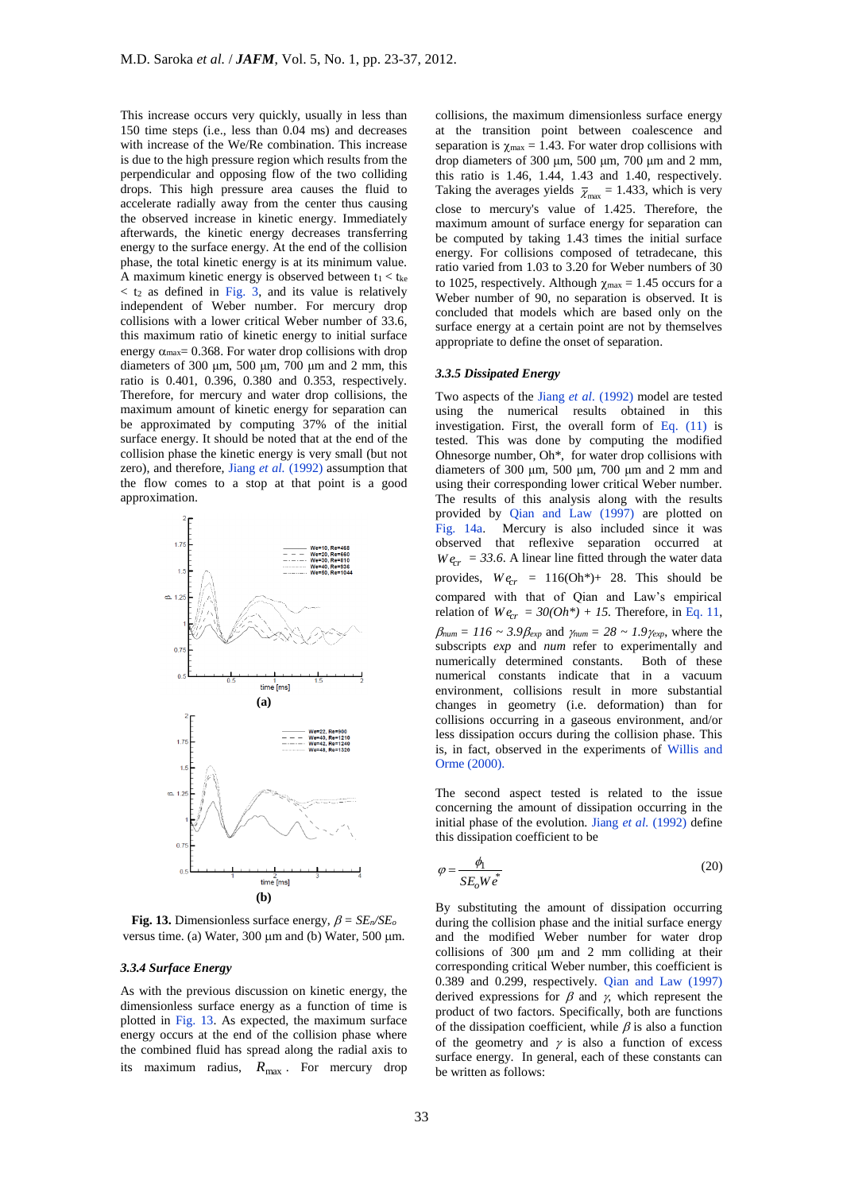This increase occurs very quickly, usually in less than 150 time steps (i.e., less than 0.04 ms) and decreases with increase of the We/Re combination. This increase is due to the high pressure region which results from the perpendicular and opposing flow of the two colliding drops. This high pressure area causes the fluid to accelerate radially away from the center thus causing the observed increase in kinetic energy. Immediately afterwards, the kinetic energy decreases transferring energy to the surface energy. At the end of the collision phase, the total kinetic energy is at its minimum value. A maximum kinetic energy is observed between  $t_1 < t_{ke}$  $<$  t<sub>2</sub> as defined in Fig. 3, and its value is relatively independent of Weber number. For mercury drop collisions with a lower critical Weber number of 33.6, this maximum ratio of kinetic energy to initial surface energy  $\alpha_{\text{max}}$  = 0.368. For water drop collisions with drop diameters of 300  $\mu$ m, 500  $\mu$ m, 700  $\mu$ m and 2 mm, this ratio is 0.401, 0.396, 0.380 and 0.353, respectively. Therefore, for mercury and water drop collisions, the maximum amount of kinetic energy for separation can be approximated by computing 37% of the initial surface energy. It should be noted that at the end of the collision phase the kinetic energy is very small (but not zero), and therefore, Jiang *et al.* (1992) assumption that the flow comes to a stop at that point is a good approximation.



**Fig. 13.** Dimensionless surface energy,  $\beta = SE_n/SE_o$ versus time. (a) Water,  $300 \mu m$  and (b) Water,  $500 \mu m$ .

#### *3.3.4 Surface Energy*

As with the previous discussion on kinetic energy, the dimensionless surface energy as a function of time is plotted in Fig. 13. As expected, the maximum surface energy occurs at the end of the collision phase where the combined fluid has spread along the radial axis to its maximum radius,  $R_{\text{max}}$ . For mercury drop collisions, the maximum dimensionless surface energy at the transition point between coalescence and separation is  $\chi_{\text{max}} = 1.43$ . For water drop collisions with drop diameters of 300 μm, 500 μm, 700 μm and 2 mm, this ratio is 1.46, 1.44, 1.43 and 1.40, respectively. Taking the averages yields  $\bar{\chi}_{\text{max}} = 1.433$ , which is very close to mercury's value of 1.425. Therefore, the maximum amount of surface energy for separation can be computed by taking 1.43 times the initial surface energy. For collisions composed of tetradecane, this ratio varied from 1.03 to 3.20 for Weber numbers of 30 to 1025, respectively. Although  $\chi_{\text{max}} = 1.45$  occurs for a Weber number of 90, no separation is observed. It is concluded that models which are based only on the surface energy at a certain point are not by themselves appropriate to define the onset of separation.

# *3.3.5 Dissipated Energy*

Two aspects of the Jiang *et al.* (1992) model are tested using the numerical results obtained in this investigation. First, the overall form of Eq. (11) is tested. This was done by computing the modified Ohnesorge number, Oh\*, for water drop collisions with diameters of 300 μm, 500 μm, 700 μm and 2 mm and using their corresponding lower critical Weber number. The results of this analysis along with the results provided by Qian and Law (1997) are plotted on Fig. 14a. Mercury is also included since it was observed that reflexive separation occurred at  $We<sub>cr</sub> = 33.6$ . A linear line fitted through the water data provides,  $We_{cr} = 116(Oh*)+ 28$ . This should be compared with that of Qian and Law's empirical relation of  $We_{cr} = 30(Oh^*) + 15$ . Therefore, in Eq. 11,  $\beta_{num} = 116 \sim 3.9 \beta_{exp}$  and  $\gamma_{num} = 28 \sim 1.9 \gamma_{exp}$ , where the subscripts *exp* and *num* refer to experimentally and numerically determined constants. Both of these numerical constants indicate that in a vacuum environment, collisions result in more substantial changes in geometry (i.e. deformation) than for collisions occurring in a gaseous environment, and/or less dissipation occurs during the collision phase. This is, in fact, observed in the experiments of Willis and Orme (2000).

The second aspect tested is related to the issue concerning the amount of dissipation occurring in the initial phase of the evolution. Jiang *et al.* (1992) define this dissipation coefficient to be

$$
\varphi = \frac{\phi_1}{SE_o W e^*}
$$
\n(20)

By substituting the amount of dissipation occurring during the collision phase and the initial surface energy and the modified Weber number for water drop collisions of 300 μm and 2 mm colliding at their corresponding critical Weber number, this coefficient is 0.389 and 0.299, respectively. Qian and Law (1997) derived expressions for  $\beta$  and  $\gamma$ , which represent the product of two factors. Specifically, both are functions of the dissipation coefficient, while  $\beta$  is also a function of the geometry and  $\gamma$  is also a function of excess surface energy. In general, each of these constants can be written as follows: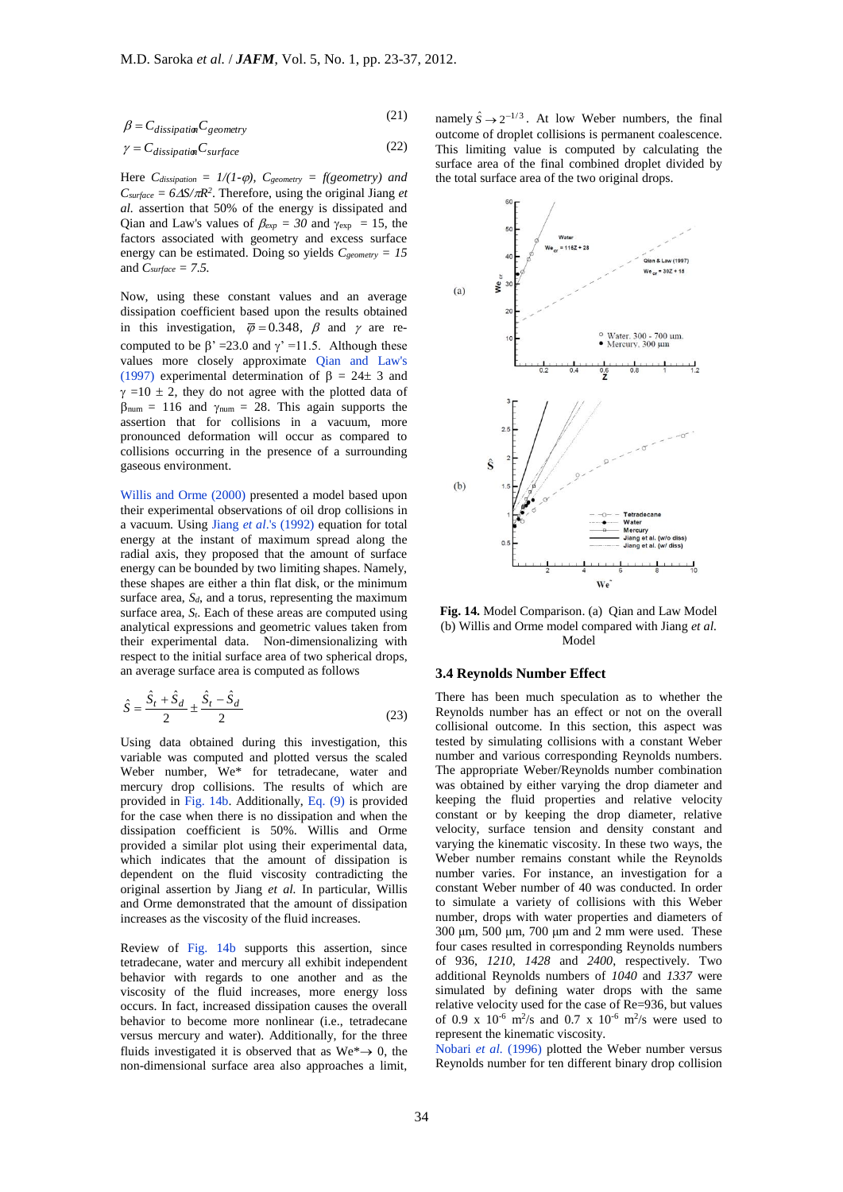$(21)$ 

$$
\beta = C_{disjoint} C_{e^{i\alpha}} \tag{21}
$$

$$
\gamma = C_{dissipation} C_{surface} \tag{22}
$$

Here  $C_{dissipation} = 1/(1-\varphi)$ ,  $C_{geometry} = f(geometry)$  and  $C_{surface} = 6\Delta S/\pi R^2$ . Therefore, using the original Jiang *et al.* assertion that 50% of the energy is dissipated and Qian and Law's values of  $\beta_{exp} = 30$  and  $\gamma_{exp} = 15$ , the factors associated with geometry and excess surface energy can be estimated. Doing so yields *Cgeometry = 15* and *Csurface = 7.5.*

Now, using these constant values and an average dissipation coefficient based upon the results obtained in this investigation,  $\overline{\varphi} = 0.348$ ,  $\beta$  and  $\gamma$  are recomputed to be  $\beta' = 23.0$  and  $\gamma' = 11.5$ . Although these values more closely approximate Qian and Law's (1997) experimental determination of  $\beta = 24 \pm 3$  and  $\gamma = 10 \pm 2$ , they do not agree with the plotted data of  $\beta_{\text{num}} = 116$  and  $\gamma_{\text{num}} = 28$ . This again supports the assertion that for collisions in a vacuum, more pronounced deformation will occur as compared to collisions occurring in the presence of a surrounding gaseous environment.

Willis and Orme (2000) presented a model based upon their experimental observations of oil drop collisions in a vacuum. Using Jiang *et al*.'s (1992) equation for total energy at the instant of maximum spread along the radial axis, they proposed that the amount of surface energy can be bounded by two limiting shapes. Namely, these shapes are either a thin flat disk, or the minimum surface area, *Sd*, and a torus, representing the maximum surface area,  $S_t$ . Each of these areas are computed using analytical expressions and geometric values taken from their experimental data. Non-dimensionalizing with respect to the initial surface area of two spherical drops, an average surface area is computed as follows

$$
\hat{S} = \frac{\hat{S}_t + \hat{S}_d}{2} \pm \frac{\hat{S}_t - \hat{S}_d}{2}
$$
\n(23)

 $\beta = C_{dissplitating}$   $\Gamma_{general}$  (22)<br>  $\gamma = C_{dissplitating}$  (22)<br>  $\Gamma_{\text{eff}}(C_{classupam} = 1/R(-\rho), C_{geumary} = f(\text{genmetry})$  and<br>  $\Gamma_{an} = \rho = \rho \Delta S/\pi R^3$ . Therefore, using the original flang *et*<br>  $\Delta_{an}$   $\text{secent} = \beta(R^{-1}(\rho))$ ,  $C_{geumary} = \beta$  is original flang *et*<br>  $\Delta$ Using data obtained during this investigation, this variable was computed and plotted versus the scaled Weber number, We\* for tetradecane, water and mercury drop collisions. The results of which are provided in Fig. 14b. Additionally, Eq. (9) is provided for the case when there is no dissipation and when the dissipation coefficient is 50%. Willis and Orme provided a similar plot using their experimental data, which indicates that the amount of dissipation is dependent on the fluid viscosity contradicting the original assertion by Jiang *et al.* In particular, Willis and Orme demonstrated that the amount of dissipation increases as the viscosity of the fluid increases.

Review of Fig. 14b supports this assertion, since tetradecane, water and mercury all exhibit independent behavior with regards to one another and as the viscosity of the fluid increases, more energy loss occurs. In fact, increased dissipation causes the overall behavior to become more nonlinear (i.e., tetradecane versus mercury and water). Additionally, for the three fluids investigated it is observed that as  $We^* \rightarrow 0$ , the non-dimensional surface area also approaches a limit,

namely  $\hat{S} \rightarrow 2^{-1/3}$ . At low Weber numbers, the final outcome of droplet collisions is permanent coalescence. This limiting value is computed by calculating the surface area of the final combined droplet divided by the total surface area of the two original drops.



**Fig. 14.** Model Comparison. (a) Qian and Law Model (b) Willis and Orme model compared with Jiang *et al.*  Model

## **3.4 Reynolds Number Effect**

There has been much speculation as to whether the Reynolds number has an effect or not on the overall collisional outcome. In this section, this aspect was tested by simulating collisions with a constant Weber number and various corresponding Reynolds numbers. The appropriate Weber/Reynolds number combination was obtained by either varying the drop diameter and keeping the fluid properties and relative velocity constant or by keeping the drop diameter, relative velocity, surface tension and density constant and varying the kinematic viscosity. In these two ways, the Weber number remains constant while the Reynolds number varies. For instance, an investigation for a constant Weber number of 40 was conducted. In order to simulate a variety of collisions with this Weber number, drops with water properties and diameters of 300 μm, 500 μm, 700 μm and 2 mm were used. These four cases resulted in corresponding Reynolds numbers of 936, *1210*, *1428* and *2400*, respectively. Two additional Reynolds numbers of *1040* and *1337* were simulated by defining water drops with the same relative velocity used for the case of Re=936, but values of 0.9 x  $10^{-6}$  m<sup>2</sup>/s and 0.7 x  $10^{-6}$  m<sup>2</sup>/s were used to represent the kinematic viscosity.

Nobari *et al.* (1996) plotted the Weber number versus Reynolds number for ten different binary drop collision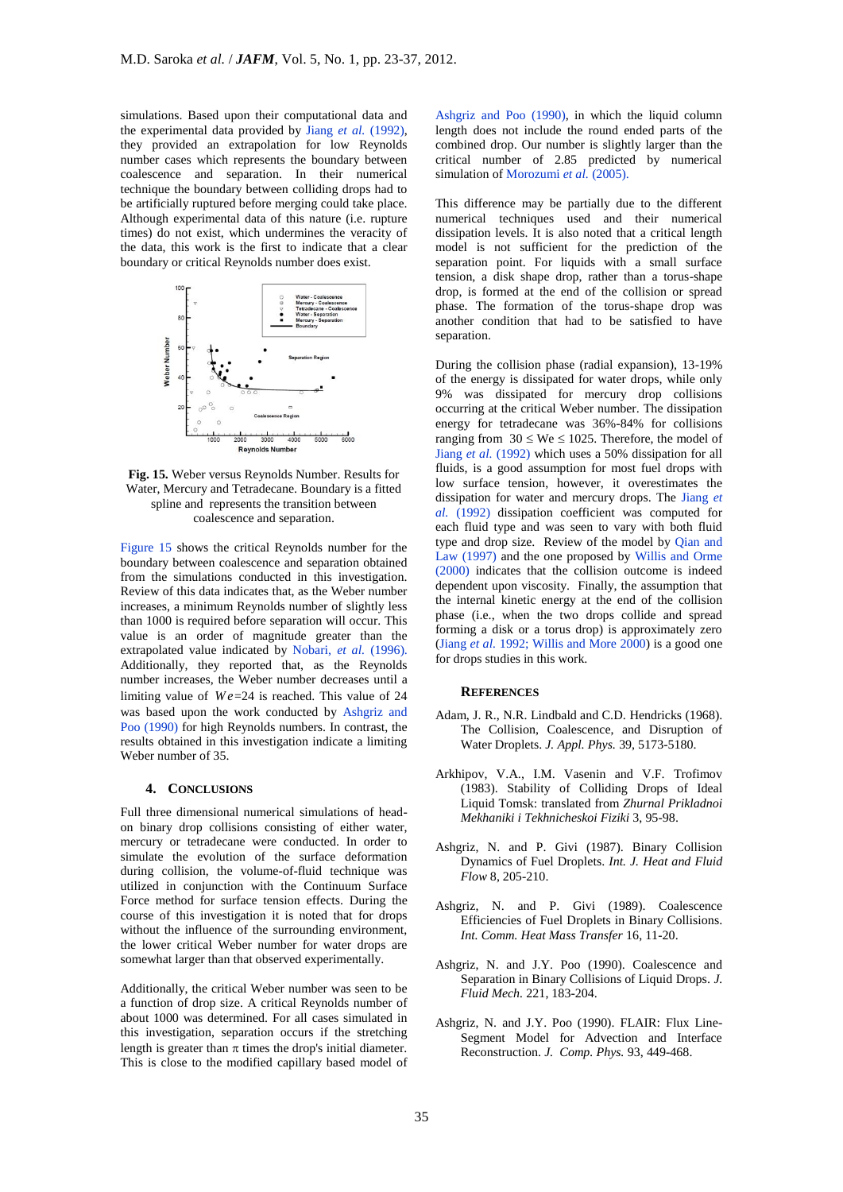simulations. Based upon their computational data and the experimental data provided by Jiang *et al.* (1992), they provided an extrapolation for low Reynolds number cases which represents the boundary between coalescence and separation. In their numerical technique the boundary between colliding drops had to be artificially ruptured before merging could take place. Although experimental data of this nature (i.e. rupture times) do not exist, which undermines the veracity of the data, this work is the first to indicate that a clear boundary or critical Reynolds number does exist.



**Fig. 15.** Weber versus Reynolds Number. Results for Water, Mercury and Tetradecane. Boundary is a fitted spline and represents the transition between coalescence and separation.

Figure 15 shows the critical Reynolds number for the boundary between coalescence and separation obtained from the simulations conducted in this investigation. Review of this data indicates that, as the Weber number increases, a minimum Reynolds number of slightly less than 1000 is required before separation will occur. This value is an order of magnitude greater than the extrapolated value indicated by Nobari, *et al.* (1996). Additionally, they reported that, as the Reynolds number increases, the Weber number decreases until a limiting value of  $We = 24$  is reached. This value of 24 was based upon the work conducted by Ashgriz and Poo (1990) for high Reynolds numbers. In contrast, the results obtained in this investigation indicate a limiting Weber number of 35.

# **4. CONCLUSIONS**

Full three dimensional numerical simulations of headon binary drop collisions consisting of either water, mercury or tetradecane were conducted. In order to simulate the evolution of the surface deformation during collision, the volume-of-fluid technique was utilized in conjunction with the Continuum Surface Force method for surface tension effects. During the course of this investigation it is noted that for drops without the influence of the surrounding environment, the lower critical Weber number for water drops are somewhat larger than that observed experimentally.

Additionally, the critical Weber number was seen to be a function of drop size. A critical Reynolds number of about 1000 was determined. For all cases simulated in this investigation, separation occurs if the stretching length is greater than  $\pi$  times the drop's initial diameter. This is close to the modified capillary based model of

Ashgriz and Poo (1990), in which the liquid column length does not include the round ended parts of the combined drop. Our number is slightly larger than the critical number of 2.85 predicted by numerical simulation of Morozumi *et al.* (2005).

This difference may be partially due to the different numerical techniques used and their numerical dissipation levels. It is also noted that a critical length model is not sufficient for the prediction of the separation point. For liquids with a small surface tension, a disk shape drop, rather than a torus-shape drop, is formed at the end of the collision or spread phase. The formation of the torus-shape drop was another condition that had to be satisfied to have separation.

During the collision phase (radial expansion), 13-19% of the energy is dissipated for water drops, while only 9% was dissipated for mercury drop collisions occurring at the critical Weber number. The dissipation energy for tetradecane was 36%-84% for collisions ranging from  $30 \leq$  We  $\leq$  1025. Therefore, the model of Jiang *et al.* (1992) which uses a 50% dissipation for all fluids, is a good assumption for most fuel drops with low surface tension, however, it overestimates the dissipation for water and mercury drops. The Jiang *et al.* (1992) dissipation coefficient was computed for each fluid type and was seen to vary with both fluid type and drop size. Review of the model by Qian and Law (1997) and the one proposed by Willis and Orme (2000) indicates that the collision outcome is indeed dependent upon viscosity. Finally, the assumption that the internal kinetic energy at the end of the collision phase (i.e., when the two drops collide and spread forming a disk or a torus drop) is approximately zero (Jiang *et al.* 1992; Willis and More 2000) is a good one for drops studies in this work.

#### **REFERENCES**

- Adam, J. R., N.R. Lindbald and C.D. Hendricks (1968). The Collision, Coalescence, and Disruption of Water Droplets. *J. Appl. Phys.* 39, 5173-5180.
- Arkhipov, V.A., I.M. Vasenin and V.F. Trofimov (1983). Stability of Colliding Drops of Ideal Liquid Tomsk: translated from *Zhurnal Prikladnoi Mekhaniki i Tekhnicheskoi Fiziki* 3, 95-98.
- Ashgriz, N. and P. Givi (1987). Binary Collision Dynamics of Fuel Droplets. *Int. J. Heat and Fluid Flow* 8, 205-210.
- Ashgriz, N. and P. Givi (1989). Coalescence Efficiencies of Fuel Droplets in Binary Collisions. *Int. Comm. Heat Mass Transfer* 16, 11-20.
- Ashgriz, N. and J.Y. Poo (1990). Coalescence and Separation in Binary Collisions of Liquid Drops. *J. Fluid Mech.* 221, 183-204.
- Ashgriz, N. and J.Y. Poo (1990). FLAIR: Flux Line-Segment Model for Advection and Interface Reconstruction. *J. Comp. Phys.* 93, 449-468.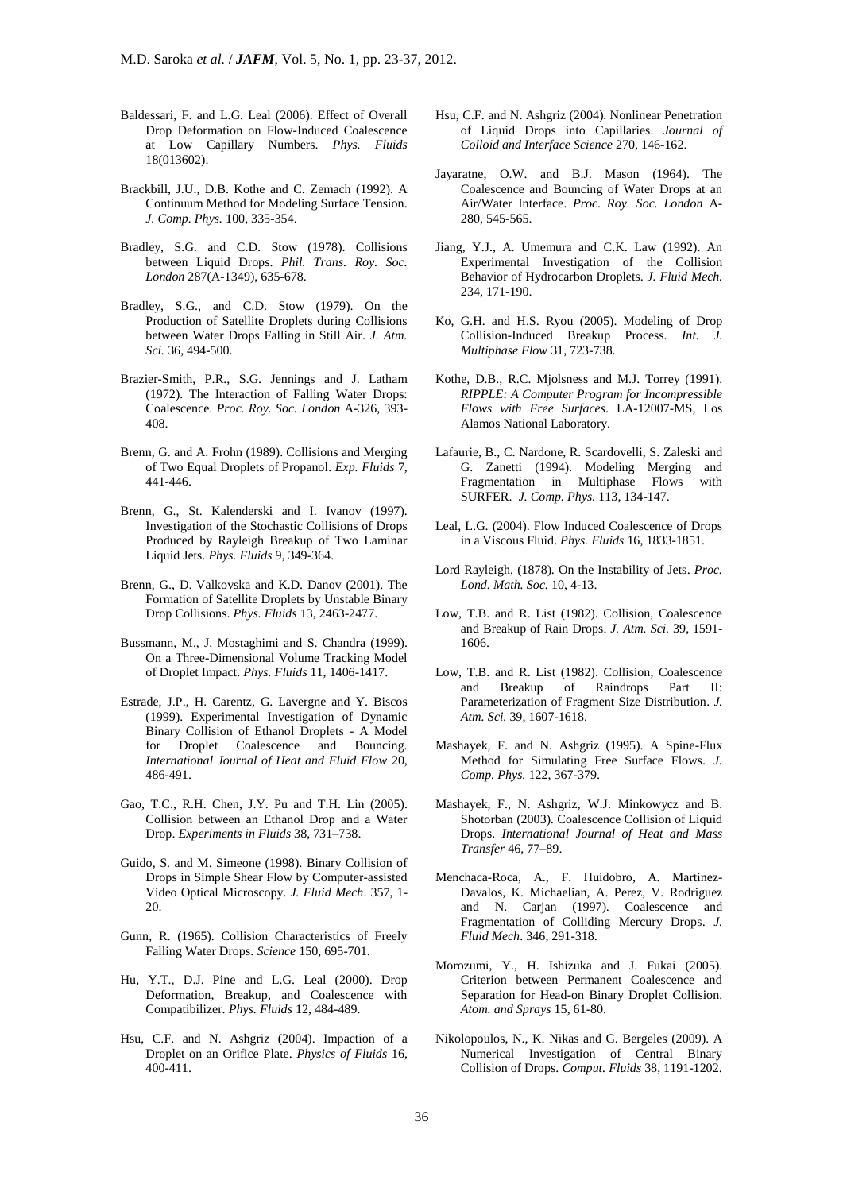- Baldessari, F. and L.G. Leal (2006). Effect of Overall Drop Deformation on Flow-Induced Coalescence at Low Capillary Numbers. *Phys. Fluids* 18(013602).
- Brackbill, J.U., D.B. Kothe and C. Zemach (1992). A Continuum Method for Modeling Surface Tension. *J. Comp. Phys.* 100, 335-354.
- Bradley, S.G. and C.D. Stow (1978). Collisions between Liquid Drops. *Phil. Trans. Roy. Soc. London* 287(A-1349), 635-678.
- Bradley, S.G., and C.D. Stow (1979). On the Production of Satellite Droplets during Collisions between Water Drops Falling in Still Air. *J. Atm. Sci.* 36, 494-500.
- Brazier-Smith, P.R., S.G. Jennings and J. Latham (1972). The Interaction of Falling Water Drops: Coalescence. *Proc. Roy. Soc. London* A-326, 393- 408.
- Brenn, G. and A. Frohn (1989). Collisions and Merging of Two Equal Droplets of Propanol. *Exp. Fluids* 7, 441-446.
- Brenn, G., St. Kalenderski and I. Ivanov (1997). Investigation of the Stochastic Collisions of Drops Produced by Rayleigh Breakup of Two Laminar Liquid Jets. *Phys. Fluids* 9, 349-364.
- Brenn, G., D. Valkovska and K.D. Danov (2001). The Formation of Satellite Droplets by Unstable Binary Drop Collisions. *Phys. Fluids* 13, 2463-2477.
- Bussmann, M., J. Mostaghimi and S. Chandra (1999). On a Three-Dimensional Volume Tracking Model of Droplet Impact. *Phys. Fluids* 11, 1406-1417.
- Estrade, J.P., H. Carentz, G. Lavergne and Y. Biscos (1999). Experimental Investigation of Dynamic Binary Collision of Ethanol Droplets - A Model for Droplet Coalescence and Bouncing. *International Journal of Heat and Fluid Flow* 20, 486-491.
- Gao, T.C., R.H. Chen, J.Y. Pu and T.H. Lin (2005). Collision between an Ethanol Drop and a Water Drop. *Experiments in Fluids* 38, 731–738.
- Guido, S. and M. Simeone (1998). Binary Collision of Drops in Simple Shear Flow by Computer-assisted Video Optical Microscopy. *J. Fluid Mech*. 357, 1- 20.
- Gunn, R. (1965). Collision Characteristics of Freely Falling Water Drops. *Science* 150, 695-701.
- Hu, Y.T., D.J. Pine and L.G. Leal (2000). Drop Deformation, Breakup, and Coalescence with Compatibilizer. *Phys. Fluids* 12, 484-489.
- Hsu, C.F. and N. Ashgriz (2004). Impaction of a Droplet on an Orifice Plate. *Physics of Fluids* 16, 400-411.
- Hsu, C.F. and N. Ashgriz (2004). Nonlinear Penetration of Liquid Drops into Capillaries. *Journal of Colloid and Interface Science* 270, 146-162.
- Jayaratne, O.W. and B.J. Mason (1964). The Coalescence and Bouncing of Water Drops at an Air/Water Interface. *Proc. Roy. Soc. London* A-280, 545-565.
- Jiang, Y.J., A. Umemura and C.K. Law (1992). An Experimental Investigation of the Collision Behavior of Hydrocarbon Droplets. *J. Fluid Mech.* 234, 171-190.
- Ko, G.H. and H.S. Ryou (2005). Modeling of Drop Collision-Induced Breakup Process. *Int. J. Multiphase Flow* 31, 723-738.
- Kothe, D.B., R.C. Mjolsness and M.J. Torrey (1991). *RIPPLE: A Computer Program for Incompressible Flows with Free Surfaces*. LA-12007-MS, Los Alamos National Laboratory.
- Lafaurie, B., C. Nardone, R. Scardovelli, S. Zaleski and G. Zanetti (1994). Modeling Merging and Fragmentation in Multiphase Flows with SURFER. *J. Comp. Phys.* 113, 134-147.
- Leal, L.G. (2004). Flow Induced Coalescence of Drops in a Viscous Fluid. *Phys. Fluids* 16, 1833-1851.
- Lord Rayleigh, (1878). On the Instability of Jets. *Proc. Lond. Math. Soc.* 10, 4-13.
- Low, T.B. and R. List (1982). Collision, Coalescence and Breakup of Rain Drops. *J. Atm. Sci.* 39, 1591- 1606.
- Low, T.B. and R. List (1982). Collision, Coalescence and Breakup of Raindrops Part II: Parameterization of Fragment Size Distribution. *J. Atm. Sci.* 39, 1607-1618.
- Mashayek, F. and N. Ashgriz (1995). A Spine-Flux Method for Simulating Free Surface Flows. *J. Comp. Phys.* 122, 367-379.
- Mashayek, F., N. Ashgriz, W.J. Minkowycz and B. Shotorban (2003). Coalescence Collision of Liquid Drops. *International Journal of Heat and Mass Transfer* 46, 77–89.
- Menchaca-Roca, A., F. Huidobro, A. Martinez-Davalos, K. Michaelian, A. Perez, V. Rodriguez and N. Carjan (1997). Coalescence and Fragmentation of Colliding Mercury Drops. *J. Fluid Mech*. 346, 291-318.
- Morozumi, Y., H. Ishizuka and J. Fukai (2005). Criterion between Permanent Coalescence and Separation for Head-on Binary Droplet Collision. *Atom. and Sprays* 15, 61-80.
- Nikolopoulos, N., K. Nikas and G. Bergeles (2009). A Numerical Investigation of Central Binary Collision of Drops. *Comput. Fluids* 38, 1191-1202.